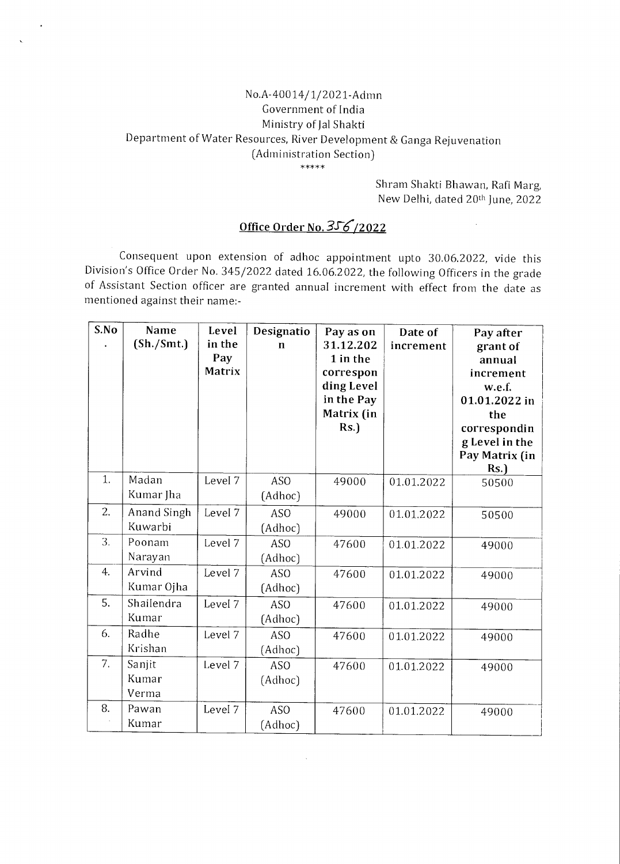## No.A-40014/1/2021-Admn Government of India Ministry of Jal Shakti Department of Water Resources, River Development & Ganga Rejuvenation (Administration Section)  $*****$

Shram Shakti Bhawan, Rafi Marg, New Delhi, dated 20th June, 2022

 $\sim$ 

## Office Order No. 356/2022

Consequent upon extension of adhoc appointment upto 30.06.2022, vide this Division's Office Order No. 345/2022 dated 16.06.2022, the following Officers in the grade of Assistant Section officer are granted annual increment with effect from the date as mentioned against their name:-

| S.No | Name<br>(Sh./Smt.)       | Level<br>in the<br>Pay<br>Matrix | Designatio<br>$\mathbf n$  | Pay as on<br>31.12.202<br>1 in the<br>correspon<br>ding Level<br>in the Pay<br>Matrix (in<br>Rs. | Date of<br>increment | Pay after<br>grant of<br>annual<br>increment<br>w.e.f.<br>01.01.2022 in<br>the<br>correspondin<br>g Level in the<br>Pay Matrix (in<br>Rs. |
|------|--------------------------|----------------------------------|----------------------------|--------------------------------------------------------------------------------------------------|----------------------|-------------------------------------------------------------------------------------------------------------------------------------------|
| 1.   | Madan<br>Kumar Jha       | Level 7                          | <b>ASO</b><br>(Adhoc)      | 49000                                                                                            | 01.01.2022           | 50500                                                                                                                                     |
| 2.   | Anand Singh<br>Kuwarbi   | Level 7                          | <b>ASO</b><br>(Adhoc)      | 49000                                                                                            | 01.01.2022           | 50500                                                                                                                                     |
| 3.   | Poonam<br>Narayan        | Level 7                          | <b>ASO</b><br>(Adhoc)      | 47600                                                                                            | 01.01.2022           | 49000                                                                                                                                     |
| 4.   | Arvind<br>Kumar Ojha     | Level 7                          | <b>ASO</b><br>(Adhoc)      | 47600                                                                                            | 01.01.2022           | 49000                                                                                                                                     |
| 5.   | Shailendra<br>Kumar      | Level 7                          | <b>ASO</b><br>(Adhoc)      | 47600                                                                                            | 01.01.2022           | 49000                                                                                                                                     |
| 6.   | Radhe<br>Krishan         | Level 7                          | AS <sub>O</sub><br>(Adhoc) | 47600                                                                                            | 01.01.2022           | 49000                                                                                                                                     |
| 7.   | Sanjit<br>Kumar<br>Verma | Level 7                          | AS <sub>O</sub><br>(Adhoc) | 47600                                                                                            | 01.01.2022           | 49000                                                                                                                                     |
| 8.   | Pawan<br>Kumar           | Level 7                          | ASO<br>(Adhoc)             | 47600                                                                                            | 01.01.2022           | 49000                                                                                                                                     |

 $\mathbf{v}$